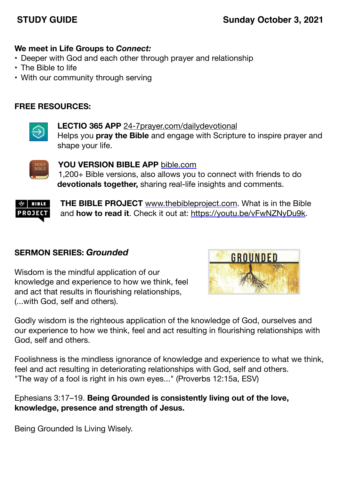# **STUDY GUIDE SUNDAY SUNDAY OCTOBER 3, 2021**

# **We meet in Life Groups to** *Connect:*

- Deeper with God and each other through prayer and relationship
- The Bible to life
- With our community through serving

# **FREE RESOURCES:**



**LECTIO 365 APP** [24-7prayer.com/dailydevotional](http://24-7prayer.com/dailydevotional) Helps you **pray the Bible** and engage with Scripture to inspire prayer and shape your life.



**YOU VERSION BIBLE APP** [bible.com](http://bible.com) 1,200+ Bible versions, also allows you to connect with friends to do **devotionals together,** sharing real-life insights and comments.



**THE BIBLE PROJECT** [www.thebibleproject.com.](http://www.thebibleproject.com) What is in the Bible and **how to read it**. Check it out at:<https://youtu.be/vFwNZNyDu9k>.

## **SERMON SERIES:** *Grounded*

Wisdom is the mindful application of our knowledge and experience to how we think, feel and act that results in flourishing relationships, (...with God, self and others).



Godly wisdom is the righteous application of the knowledge of God, ourselves and our experience to how we think, feel and act resulting in flourishing relationships with God, self and others.

Foolishness is the mindless ignorance of knowledge and experience to what we think, feel and act resulting in deteriorating relationships with God, self and others. "The way of a fool is right in his own eyes..." (Proverbs 12:15a, ESV)

Ephesians 3:17–19. **Being Grounded is consistently living out of the love, knowledge, presence and strength of Jesus.**

Being Grounded Is Living Wisely.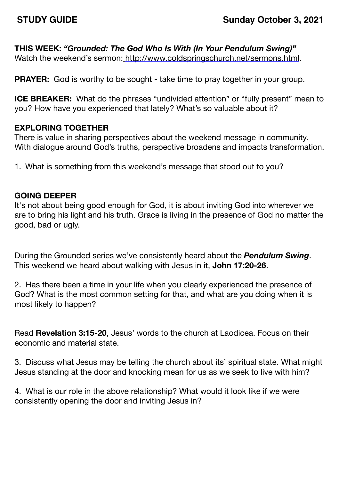## **THIS WEEK:** *"Grounded: The God Who Is With (In Your Pendulum Swing)"*

Watch the weekend's sermon: <http://www.coldspringschurch.net/sermons.html>.

**PRAYER:** God is worthy to be sought - take time to pray together in your group.

**ICE BREAKER:** What do the phrases "undivided attention" or "fully present" mean to you? How have you experienced that lately? What's so valuable about it?

## **EXPLORING TOGETHER**

There is value in sharing perspectives about the weekend message in community. With dialogue around God's truths, perspective broadens and impacts transformation.

1. What is something from this weekend's message that stood out to you?

### **GOING DEEPER**

It's not about being good enough for God, it is about inviting God into wherever we are to bring his light and his truth. Grace is living in the presence of God no matter the good, bad or ugly.

During the Grounded series we've consistently heard about the *Pendulum Swing*. This weekend we heard about walking with Jesus in it, **John 17:20-26**.

2. Has there been a time in your life when you clearly experienced the presence of God? What is the most common setting for that, and what are you doing when it is most likely to happen?

Read **Revelation 3:15-20**, Jesus' words to the church at Laodicea. Focus on their economic and material state.

3. Discuss what Jesus may be telling the church about its' spiritual state. What might Jesus standing at the door and knocking mean for us as we seek to live with him?

4. What is our role in the above relationship? What would it look like if we were consistently opening the door and inviting Jesus in?